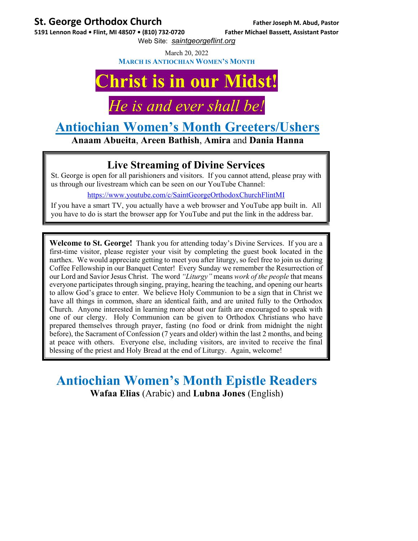#### **St. George Orthodox Church Father Joseph M. Abud, Pastor**

5191 Lennon Road . Flint, MI 48507 . (810) 732-0720 Father Michael Bassett, Assistant Pastor

Web Site: *saintgeorgeflint.org*

March 20, 2022

**MARCH IS ANTIOCHIAN WOMEN'S MONTH**

# **Christ is in our Midst!**

### *He is and ever shall be!*

## **Antiochian Women's Month Greeters/Ushers**

**Anaam Abueita**, **Areen Bathish**, **Amira** and **Dania Hanna** 

#### **Live Streaming of Divine Services**

St. George is open for all parishioners and visitors. If you cannot attend, please pray with us through our livestream which can be seen on our YouTube Channel:

https://www.youtube.com/c/SaintGeorgeOrthodoxChurchFlintMI

If you have a smart TV, you actually have a web browser and YouTube app built in. All you have to do is start the browser app for YouTube and put the link in the address bar.

**Welcome to St. George!** Thank you for attending today's Divine Services. If you are a first-time visitor, please register your visit by completing the guest book located in the narthex. We would appreciate getting to meet you after liturgy, so feel free to join us during Coffee Fellowship in our Banquet Center! Every Sunday we remember the Resurrection of our Lord and Savior Jesus Christ. The word *"Liturgy"* means *work of the people* that means everyone participates through singing, praying, hearing the teaching, and opening our hearts to allow God's grace to enter. We believe Holy Communion to be a sign that in Christ we have all things in common, share an identical faith, and are united fully to the Orthodox Church. Anyone interested in learning more about our faith are encouraged to speak with one of our clergy. Holy Communion can be given to Orthodox Christians who have prepared themselves through prayer, fasting (no food or drink from midnight the night before), the Sacrament of Confession (7 years and older) within the last 2 months, and being at peace with others. Everyone else, including visitors, are invited to receive the final blessing of the priest and Holy Bread at the end of Liturgy. Again, welcome!

#### **Antiochian Women's Month Epistle Readers Wafaa Elias** (Arabic) and **Lubna Jones** (English)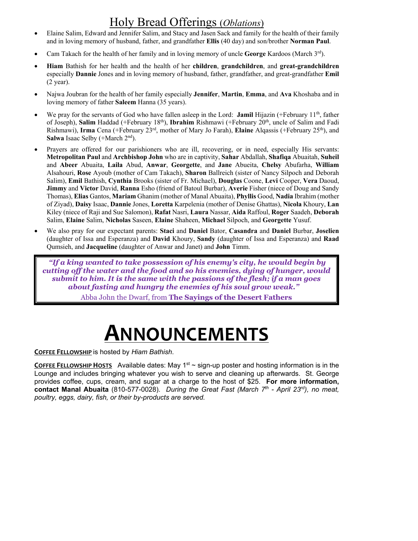#### Holy Bread Offerings (*Oblations*)

- Elaine Salim, Edward and Jennifer Salim, and Stacy and Jasen Sack and family for the health of their family and in loving memory of husband, father, and grandfather **Ellis** (40 day) and son/brother **Norman Paul**.
- Cam Takach for the health of her family and in loving memory of uncle **George** Kardoos (March 3rd).
- **Hiam** Bathish for her health and the health of her **children**, **grandchildren**, and **great-grandchildren** especially **Dannie** Jones and in loving memory of husband, father, grandfather, and great-grandfather **Emil** (2 year).
- Najwa Joubran for the health of her family especially **Jennifer**, **Martin**, **Emma**, and **Ava** Khoshaba and in loving memory of father **Saleem** Hanna (35 years).
- We pray for the servants of God who have fallen asleep in the Lord: **Jamil** Hijazin (+February 11<sup>th</sup>, father of Joseph), **Salim** Haddad (+February 18th), **Ibrahim** Rishmawi (+February 20th, uncle of Salim and Fadi Rishmawi), **Irma** Cena (+February 23rd, mother of Mary Jo Farah), **Elaine** Alqassis (+February 25th), and **Salwa** Isaac Selby (+March 2<sup>nd</sup>).
- Prayers are offered for our parishioners who are ill, recovering, or in need, especially His servants: **Metropolitan Paul** and **Archbishop John** who are in captivity, **Sahar** Abdallah, **Shafiqa** Abuaitah, **Suheil**  and **Abeer** Abuaita, **Laila** Abud, **Anwar**, **Georgette**, and **Jane** Abueita, **Chelsy** Abufarha, **William** Alsahouri, **Rose** Ayoub (mother of Cam Takach), **Sharon** Ballreich (sister of Nancy Silpoch and Deborah Salim), **Emil** Bathish, **Cynthia** Brooks (sister of Fr. Michael), **Douglas** Coone, **Levi** Cooper, **Vera** Daoud, **Jimmy** and **Victor** David, **Ranna** Esho (friend of Batoul Burbar), **Averie** Fisher (niece of Doug and Sandy Thomas), **Elias** Gantos, **Mariam** Ghanim (mother of Manal Abuaita), **Phyllis** Good, **Nadia** Ibrahim (mother of Ziyad), **Daisy** Isaac, **Dannie** Jones, **Loretta** Karpelenia (mother of Denise Ghattas), **Nicola** Khoury, **Lan** Kiley (niece of Raji and Sue Salomon), **Rafat** Nasri, **Laura** Nassar, **Aida** Raffoul, **Roger** Saadeh, **Deborah** Salim, **Elaine** Salim, **Nicholas** Saseen, **Elaine** Shaheen, **Michael** Silpoch, and **Georgette** Yusuf.
- We also pray for our expectant parents: **Staci** and **Daniel** Bator, **Casandra** and **Daniel** Burbar, **Joselien** (daughter of Issa and Esperanza) and **David** Khoury, **Sandy** (daughter of Issa and Esperanza) and **Raad** Qumsieh, and **Jacqueline** (daughter of Anwar and Janet) and **John** Timm.

 *"If a king wanted to take possession of his enemy's city, he would begin by cutting off the water and the food and so his enemies, dying of hunger, would submit to him. It is the same with the passions of the flesh; if a man goes about fasting and hungry the enemies of his soul grow weak."*  Abba John the Dwarf, from **The Sayings of the Desert Fathers**

# **ANNOUNCEMENTS**

**COFFEE FELLOWSHIP** is hosted by *Hiam Bathish*.

**COFFEE FELLOWSHIP HOSTS** Available dates: May  $1^{st} \sim$  sign-up poster and hosting information is in the Lounge and includes bringing whatever you wish to serve and cleaning up afterwards. St. George provides coffee, cups, cream, and sugar at a charge to the host of \$25. **For more information, contact Manal Abuaita** (810-577-0028). *During the Great Fast (March 7th - April 23rd), no meat, poultry, eggs, dairy, fish, or their by-products are served.*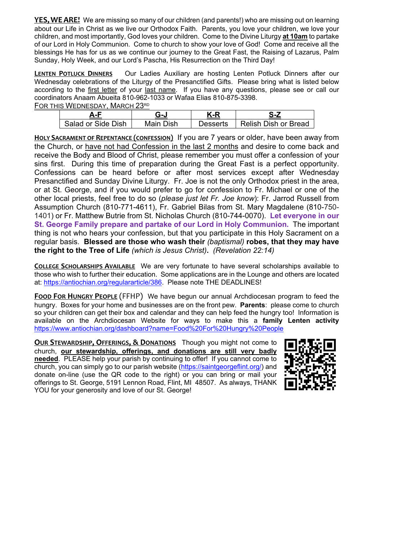**YES, WE ARE!** We are missing so many of our children (and parents!) who are missing out on learning about our Life in Christ as we live our Orthodox Faith. Parents, you love your children, we love your children, and most importantly, God loves your children. Come to the Divine Liturgy **at 10am** to partake of our Lord in Holy Communion. Come to church to show your love of God! Come and receive all the blessings He has for us as we continue our journey to the Great Fast, the Raising of Lazarus, Palm Sunday, Holy Week, and our Lord's Pascha, His Resurrection on the Third Day!

**LENTEN POTLUCK DINNERS** Our Ladies Auxiliary are hosting Lenten Potluck Dinners after our Wednesday celebrations of the Liturgy of the Presanctified Gifts. Please bring what is listed below according to the first letter of your last name. If you have any questions, please see or call our coordinators Anaam Abueita 810-962-1033 or Wafaa Elias 810-875-3398. FOR THIS WEDNESDAY. MARCH 23RD

| i 119 WEDNESDAT. MANSITZS |           |          |                      |  |
|---------------------------|-----------|----------|----------------------|--|
|                           |           | K-R      |                      |  |
| Salad or Side Dish        | Main Dish | Desserts | Relish Dish or Bread |  |

**HOLY SACRAMENT OF REPENTANCE (CONFESSION)** If you are 7 years or older, have been away from the Church, or have not had Confession in the last 2 months and desire to come back and receive the Body and Blood of Christ, please remember you must offer a confession of your sins first. During this time of preparation during the Great Fast is a perfect opportunity. Confessions can be heard before or after most services except after Wednesday Presanctified and Sunday Divine Liturgy. Fr. Joe is not the only Orthodox priest in the area, or at St. George, and if you would prefer to go for confession to Fr. Michael or one of the other local priests, feel free to do so (*please just let Fr. Joe know*): Fr. Jarrod Russell from Assumption Church (810-771-4611), Fr. Gabriel Bilas from St. Mary Magdalene (810-750- 1401) or Fr. Matthew Butrie from St. Nicholas Church (810-744-0070). **Let everyone in our St. George Family prepare and partake of our Lord in Holy Communion.** The important thing is not who hears your confession, but that you participate in this Holy Sacrament on a regular basis. **Blessed are those who wash their** *(baptismal)* **robes, that they may have the right to the Tree of Life** *(which is Jesus Christ)***.** *(Revelation 22:14)* 

**COLLEGE SCHOLARSHIPS AVAILABLE** We are very fortunate to have several scholarships available to those who wish to further their education. Some applications are in the Lounge and others are located at: https://antiochian.org/regulararticle/386. Please note THE DEADLINES!

**FOOD FOR HUNGRY PEOPLE** (FFHP) We have begun our annual Archdiocesan program to feed the hungry. Boxes for your home and businesses are on the front pew. **Parents**: please come to church so your children can get their box and calendar and they can help feed the hungry too! Information is available on the Archdiocesan Website for ways to make this a **family Lenten activity** https://www.antiochian.org/dashboard?name=Food%20For%20Hungry%20People

**OUR STEWARDSHIP, OFFERINGS, & DONATIONS** Though you might not come to church, **our stewardship, offerings, and donations are still very badly needed**. PLEASE help your parish by continuing to offer! If you cannot come to church, you can simply go to our parish website (https://saintgeorgeflint.org/) and donate on-line (use the QR code to the right) or you can bring or mail your offerings to St. George, 5191 Lennon Road, Flint, MI 48507. As always, THANK YOU for your generosity and love of our St. George!

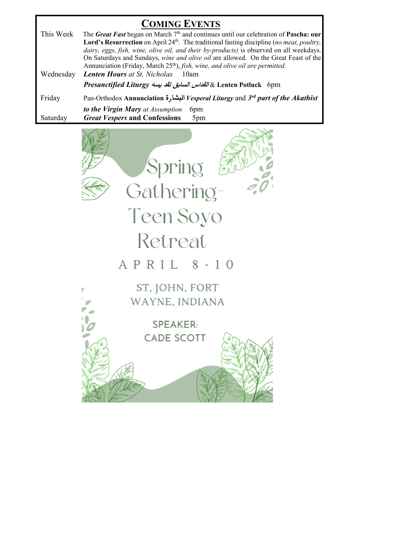